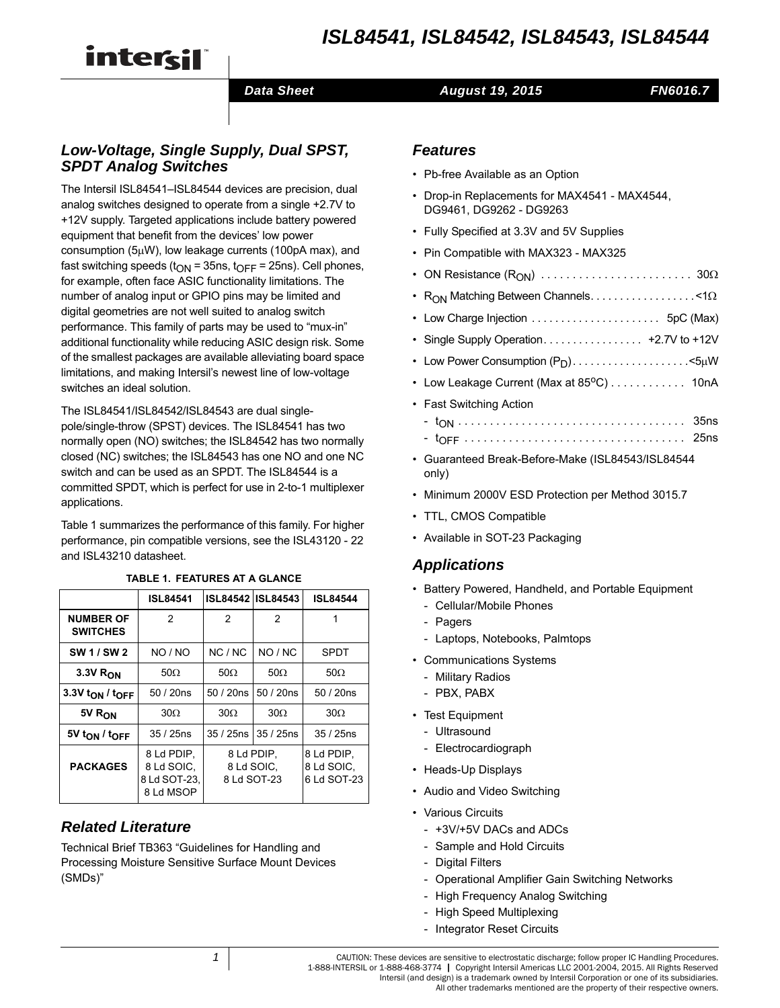# *ISL84541, ISL84542, ISL84543, ISL84544*

# intercil

#### **Data Sheet August 19, 2015**

```
FN6016.7
```
# *Low-Voltage, Single Supply, Dual SPST, SPDT Analog Switches*

The Intersil ISL84541–ISL84544 devices are precision, dual analog switches designed to operate from a single +2.7V to +12V supply. Targeted applications include battery powered equipment that benefit from the devices' low power consumption ( $5\mu$ W), low leakage currents (100pA max), and fast switching speeds ( $t_{ON}$  = 35ns,  $t_{OFF}$  = 25ns). Cell phones, for example, often face ASIC functionality limitations. The number of analog input or GPIO pins may be limited and digital geometries are not well suited to analog switch performance. This family of parts may be used to "mux-in" additional functionality while reducing ASIC design risk. Some of the smallest packages are available alleviating board space limitations, and making Intersil's newest line of low-voltage switches an ideal solution.

The ISL84541/ISL84542/ISL84543 are dual singlepole/single-throw (SPST) devices. The ISL84541 has two normally open (NO) switches; the ISL84542 has two normally closed (NC) switches; the ISL84543 has one NO and one NC switch and can be used as an SPDT. The ISL84544 is a committed SPDT, which is perfect for use in 2-to-1 multiplexer applications.

Table 1 summarizes the performance of this family. For higher performance, pin compatible versions, see the ISL43120 - 22 and ISL43210 datasheet.

**TABLE 1. FEATURES AT A GLANCE**

|       | ISL84541   ISL84542   ISL84543 |  | ĸ |
|-------|--------------------------------|--|---|
| -- -- |                                |  |   |

|                                         | <b>ISL84541</b>                                       |                                         | ISL84542 ISL84543 | <b>ISL84544</b>                         |
|-----------------------------------------|-------------------------------------------------------|-----------------------------------------|-------------------|-----------------------------------------|
| <b>NUMBER OF</b><br><b>SWITCHES</b>     | 2                                                     | 2                                       | 2                 | 1                                       |
| SW 1 / SW 2                             | NO / NO                                               | NC/NC                                   | NO / NC           | <b>SPDT</b>                             |
| 3.3V R <sub>ON</sub>                    | $50\Omega$                                            | $50\Omega$                              | $50\Omega$        | $50\Omega$                              |
| 3.3V t <sub>ON</sub> / t <sub>OFF</sub> | 50/20ns                                               | 50/20ns                                 | 50 / 20ns         | 50/20ns                                 |
| 5V R <sub>ON</sub>                      | $30\Omega$                                            | $30\Omega$                              | $30\Omega$        | $30\Omega$                              |
| 5V ton / toff                           | $35/25$ ns                                            | 35 / 25ns 35 / 25ns                     |                   | $35/25$ ns                              |
| <b>PACKAGES</b>                         | 8 Ld PDIP.<br>8 Ld SOIC,<br>8 Ld SOT-23,<br>8 Ld MSOP | 8 Ld PDIP.<br>8 Ld SOIC.<br>8 Ld SOT-23 |                   | 8 Ld PDIP.<br>8 Ld SOIC,<br>6 Ld SOT-23 |

# *Related Literature*

Technical Brief TB363 "Guidelines for Handling and Processing Moisture Sensitive Surface Mount Devices (SMDs)"

# *Features*

- Pb-free Available as an Option
- Drop-in Replacements for MAX4541 MAX4544, DG9461, DG9262 - DG9263
- Fully Specified at 3.3V and 5V Supplies
- Pin Compatible with MAX323 MAX325
- ON Resistance (RON) . . . . . . . . . . . . . . . . . . . . . . . . 30
- R<sub>ON</sub> Matching Between Channels. . . . . . . . . . . . . . . . < 1 $\Omega$
- Low Charge Injection . . . . . . . . . . . . . . . . . . . . . . 5pC (Max)
- Single Supply Operation. . . . . . . . . . . . . . . . . +2.7V to +12V
- Low Power Consumption  $(P_D)$ ......................<5µW
- Low Leakage Current (Max at  $85^{\circ}$ C) . . . . . . . . . . . 10nA
- Fast Switching Action
	- tON . . . . . . . . . . . . . . . . . . . . . . . . . . . . . . . . . . . . 35ns
	- tOFF . . . . . . . . . . . . . . . . . . . . . . . . . . . . . . . . . . . 25ns
- Guaranteed Break-Before-Make (ISL84543/ISL84544 only)
- Minimum 2000V ESD Protection per Method 3015.7
- TTL, CMOS Compatible
- Available in SOT-23 Packaging

### *Applications*

- Battery Powered, Handheld, and Portable Equipment
	- Cellular/Mobile Phones
	- Pagers
	- Laptops, Notebooks, Palmtops
- Communications Systems
	- Military Radios
	- PBX, PABX
- Test Equipment
	- Ultrasound
	- Electrocardiograph
- Heads-Up Displays
- Audio and Video Switching
- Various Circuits
	- +3V/+5V DACs and ADCs
	- Sample and Hold Circuits
	- Digital Filters
	- Operational Amplifier Gain Switching Networks
	- High Frequency Analog Switching
	- High Speed Multiplexing
	- Integrator Reset Circuits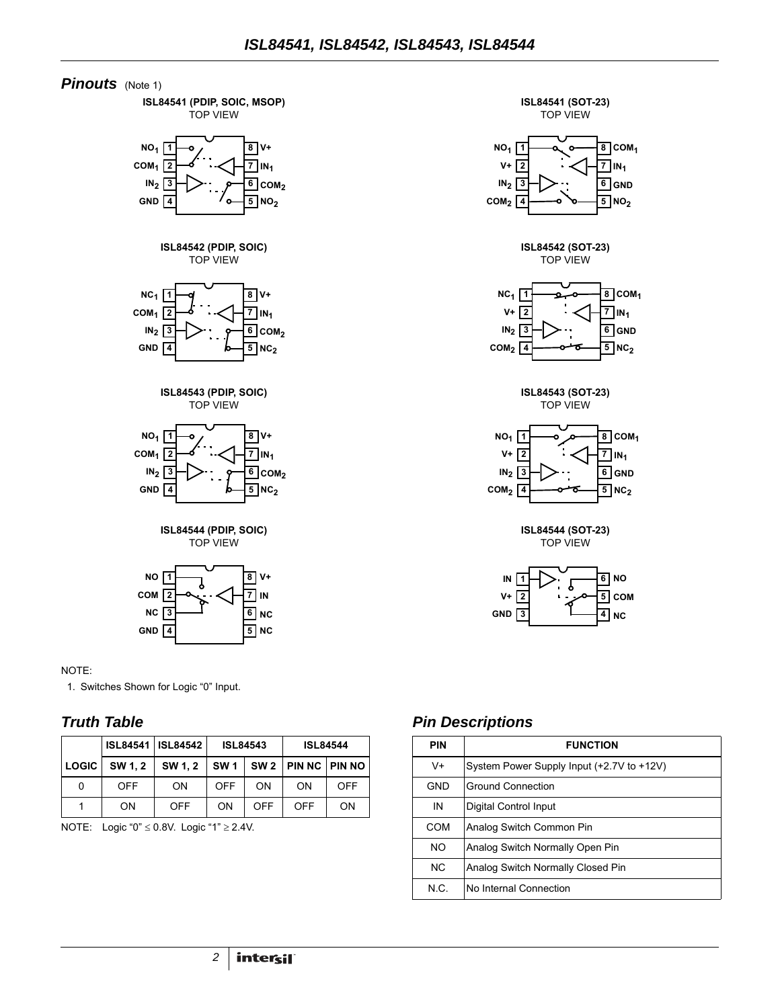







#### NOTE:

<span id="page-1-0"></span>1. Switches Shown for Logic "0" Input.

**4 GND**

#### *Truth Table*

|              |            | <b>ISL84541   ISL84542</b>       | <b>ISL84543</b> |     |     | <b>ISL84544</b> |
|--------------|------------|----------------------------------|-----------------|-----|-----|-----------------|
| <b>LOGIC</b> | SW 1.2     | $SW 1.2$ $SW 1$ $SW 2$ $PHN 1.2$ |                 |     |     |                 |
| 0            | <b>OFF</b> | <b>ON</b>                        | <b>OFF</b>      | ΩN  | ON  | OFF             |
|              | ON         | OFF                              | ON              | OFF | OFF | ON              |

NOTE: Logic "0"  $\leq$  0.8V. Logic "1"  $\geq$  2.4V.

#### *Pin Descriptions*

| <b>PIN</b> | <b>FUNCTION</b>                           |
|------------|-------------------------------------------|
| $V +$      | System Power Supply Input (+2.7V to +12V) |
| GND        | <b>Ground Connection</b>                  |
| IN         | Digital Control Input                     |
| COM        | Analog Switch Common Pin                  |
| <b>NO</b>  | Analog Switch Normally Open Pin           |
| <b>NC</b>  | Analog Switch Normally Closed Pin         |
| N.C.       | No Internal Connection                    |

**5 NC**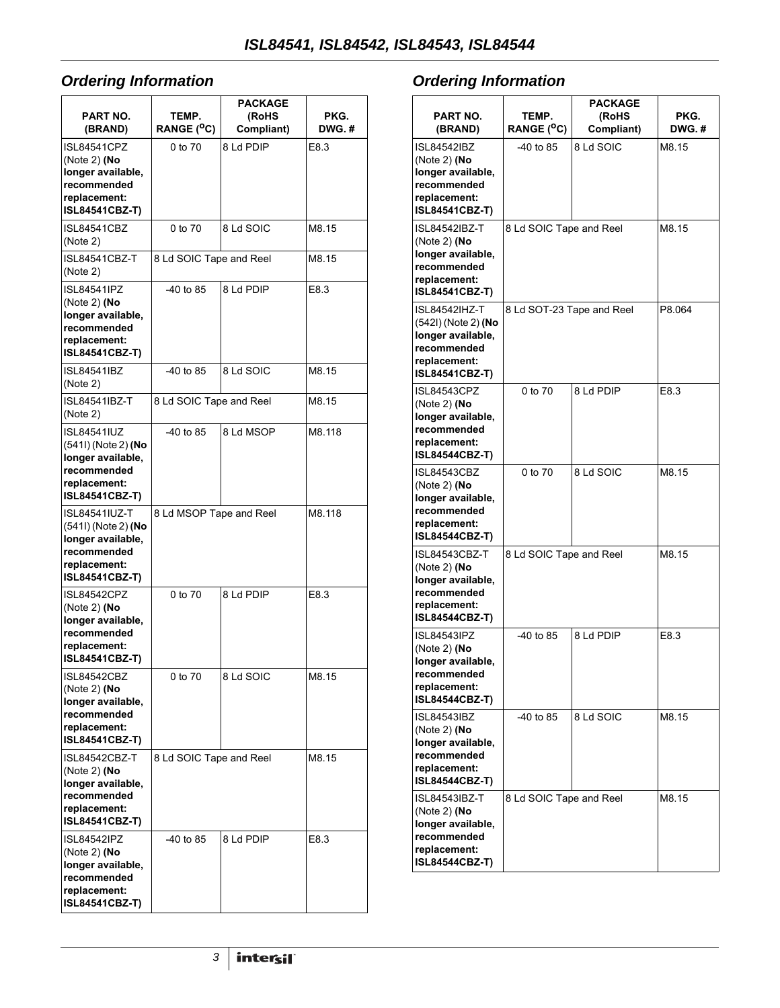# <span id="page-2-0"></span>*Ordering Information*

| <b>PART NO.</b><br>(BRAND)                                                                                        | TEMP.<br>RANGE ( <sup>O</sup> C) | PACKAGE<br>(RoHS<br>Compliant) | PKG.<br>DWG.# |
|-------------------------------------------------------------------------------------------------------------------|----------------------------------|--------------------------------|---------------|
| <b>ISL84541CPZ</b><br>(Note 2) (No<br>longer available,<br>recommended<br>replacement:<br>ISL84541CBZ-T)          | 0 to 70                          | 8 Ld PDIP                      | E8.3          |
| ISL84541CBZ<br>(Note 2)                                                                                           | 0 to 70                          | 8 Ld SOIC                      | M8.15         |
| ISL84541CBZ-T<br>(Note 2)                                                                                         | 8 Ld SOIC Tape and Reel          |                                | M8.15         |
| ISL84541IPZ<br>(Note 2) (No<br>longer available,<br>recommended<br>replacement:<br>ISL84541CBZ-T)                 | -40 to 85                        | 8 Ld PDIP                      | E8.3          |
| <b>ISL84541IBZ</b><br>(Note 2)                                                                                    | $-40$ to 85                      | 8 Ld SOIC                      | M8.15         |
| ISI 84541IB7-T<br>(Note 2)                                                                                        | 8 Ld SOIC Tape and Reel          |                                | M8.15         |
| <b>ISL84541IUZ</b><br>(541I) (Note 2) (No<br>longer available,<br>recommended<br>replacement:<br>ISL84541CBZ-T)   | $-40$ to 85                      | 8 Ld MSOP                      | M8.118        |
| <b>ISL84541IUZ-T</b><br>(541I) (Note 2) (No<br>longer available,<br>recommended<br>replacement:<br>ISL84541CBZ-T) | 8 Ld MSOP Tape and Reel          |                                | M8.118        |
| ISL84542CPZ<br>(Note 2) (No<br>longer available,<br>recommended<br>replacement:<br>ISL84541CBZ-T)                 | 0 to 70                          | 8 Ld PDIP                      | E8.3          |
| <b>ISL84542CBZ</b><br>(Note 2) (No<br>longer available,<br>recommended<br>replacement:<br>ISL84541CBZ-T)          | 0 to 70                          | 8 Ld SOIC                      | M8.15         |
| ISL84542CBZ-T<br>(Note 2) (No<br>longer available,<br>recommended<br>replacement:<br>ISL84541CBZ-T)               | 8 Ld SOIC Tape and Reel          |                                | M8.15         |
| ISL84542IPZ<br>(Note 2) (No<br>longer available,<br>recommended<br>replacement:<br>ISL84541CBZ-T)                 | -40 to 85                        | 8 Ld PDIP                      | E8.3          |

# *Ordering Information*

| PART NO.<br>(BRAND)                                                                                                | TEMP.<br>RANGE ( <sup>O</sup> C) | <b>PACKAGE</b><br>(RoHS<br>Compliant) | PKG.<br>DWG.# |
|--------------------------------------------------------------------------------------------------------------------|----------------------------------|---------------------------------------|---------------|
| ISL84542IBZ<br>(Note 2) (No<br>longer available,<br>recommended<br>replacement:<br>ISL84541CBZ-T)                  | -40 to 85                        | 8 Ld SOIC                             | M8.15         |
| ISL84542IBZ-T<br>(Note 2) (No<br>longer available,<br>recommended<br>replacement:<br><b>ISL84541CBZ-T)</b>         | 8 Ld SOIC Tape and Reel          |                                       | M8.15         |
| ISL84542IHZ-T<br>(542I) (Note 2) <b>(No</b><br>longer available,<br>recommended<br>replacement:<br>ISL84541CBZ-T)  | 8 Ld SOT-23 Tape and Reel        |                                       | P8.064        |
| <b>ISL84543CPZ</b><br>(Note 2) ( $No$<br>longer available,<br>recommended<br>replacement:<br>ISL84544CBZ-T)        | 0 to 70                          | 8 Ld PDIP                             | E8.3          |
| ISL84543CBZ<br>(Note 2) ( $No$<br>longer available,<br>recommended<br>replacement:<br><b>ISL84544CBZ-T)</b>        | 0 to 70                          | 8 Ld SOIC                             | M8.15         |
| ISL84543CBZ-T<br>(Note 2) (No<br>longer available,<br>recommended<br>replacement:<br>ISL84544CBZ-T)                | 8 Ld SOIC Tape and Reel          |                                       | M8.15         |
| <b>ISL84543IPZ</b><br>(Note 2) ( $No$<br>longer available,<br>recommended<br>replacement:<br><b>ISL84544CBZ-T)</b> | -40 to 85                        | 8 Ld PDIP                             | E8.3          |
| ISL84543IBZ<br>(Note 2) ( $No$<br>longer available,<br>recommended<br>replacement:<br>ISL84544CBZ-T)               | -40 to 85                        | 8 Ld SOIC                             | M8.15         |
| ISL84543IBZ-T<br>(Note 2) ( $No$<br>longer available,<br>recommended<br>replacement:<br>ISL84544CBZ-T)             | 8 Ld SOIC Tape and Reel          |                                       | M8.15         |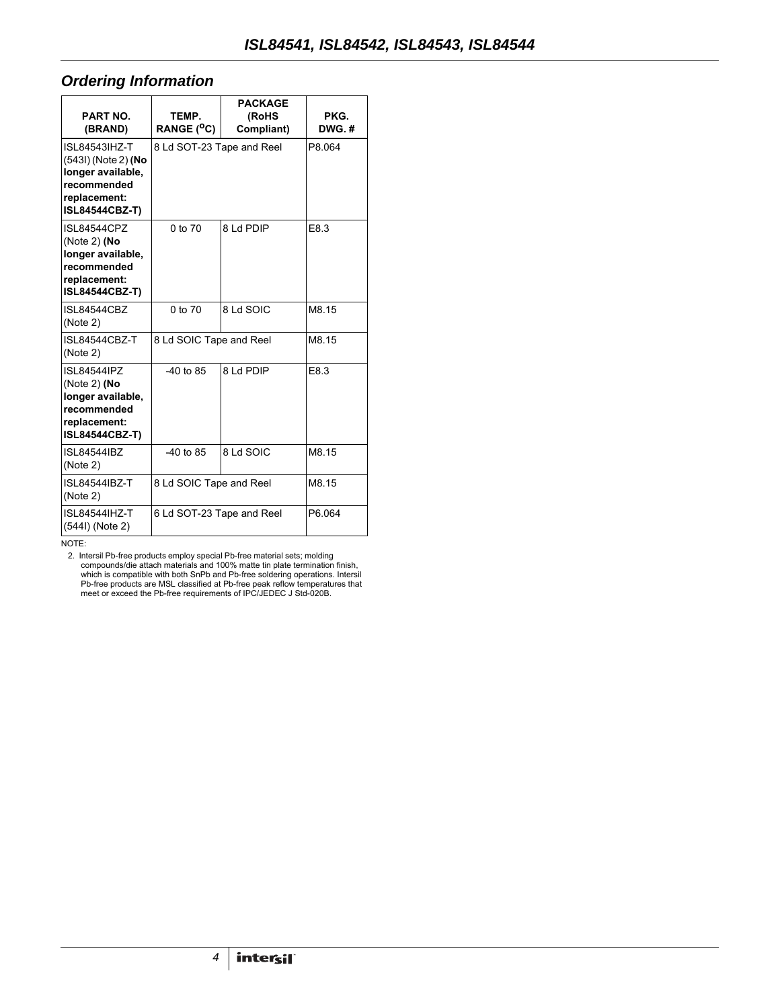#### *Ordering Information*

| <b>PART NO.</b><br>(BRAND)                                                                                         | TEMP.<br>RANGE ( <sup>O</sup> C) | <b>PACKAGE</b><br>(RoHS<br>Compliant) | PKG.<br>DWG.# |
|--------------------------------------------------------------------------------------------------------------------|----------------------------------|---------------------------------------|---------------|
| <b>ISL84543IHZ-T</b><br>(543I) (Note 2) (No<br>longer available,<br>recommended<br>replacement:<br>ISL84544CBZ-T)  | 8 Ld SOT-23 Tape and Reel        |                                       | P8.064        |
| <b>ISL84544CPZ</b><br>(Note 2) ( $No$<br>longer available,<br>recommended<br>replacement:<br>ISL84544CBZ-T)        | 0 to 70                          | 8 Ld PDIP                             | E8.3          |
| <b>ISL84544CBZ</b><br>(Note 2)                                                                                     | 0 to 70                          | 8 Ld SOIC                             | M8.15         |
| ISL84544CBZ-T<br>(Note 2)                                                                                          | 8 Ld SOIC Tape and Reel          |                                       | M8.15         |
| <b>ISL84544IPZ</b><br>(Note 2) ( $No$<br>longer available,<br>recommended<br>replacement:<br><b>ISL84544CBZ-T)</b> | $-40$ to 85                      | 8 Ld PDIP                             | E8.3          |
| ISI 84544IBZ<br>(Note 2)                                                                                           | $-40$ to 85                      | 8 Ld SOIC                             | M8.15         |
| <b>ISL84544IBZ-T</b><br>(Note 2)                                                                                   | 8 Ld SOIC Tape and Reel          |                                       | M8.15         |
| ISI 845441H7-T<br>(544I) (Note 2)                                                                                  | 6 Ld SOT-23 Tape and Reel        |                                       | P6.064        |

NOTE:

2. Intersil Pb-free products employ special Pb-free material sets; molding<br>compounds/die attach materials and 100% matte tin plate termination finish,<br>which is compatible with both SnPb and Pb-free soldering operations. In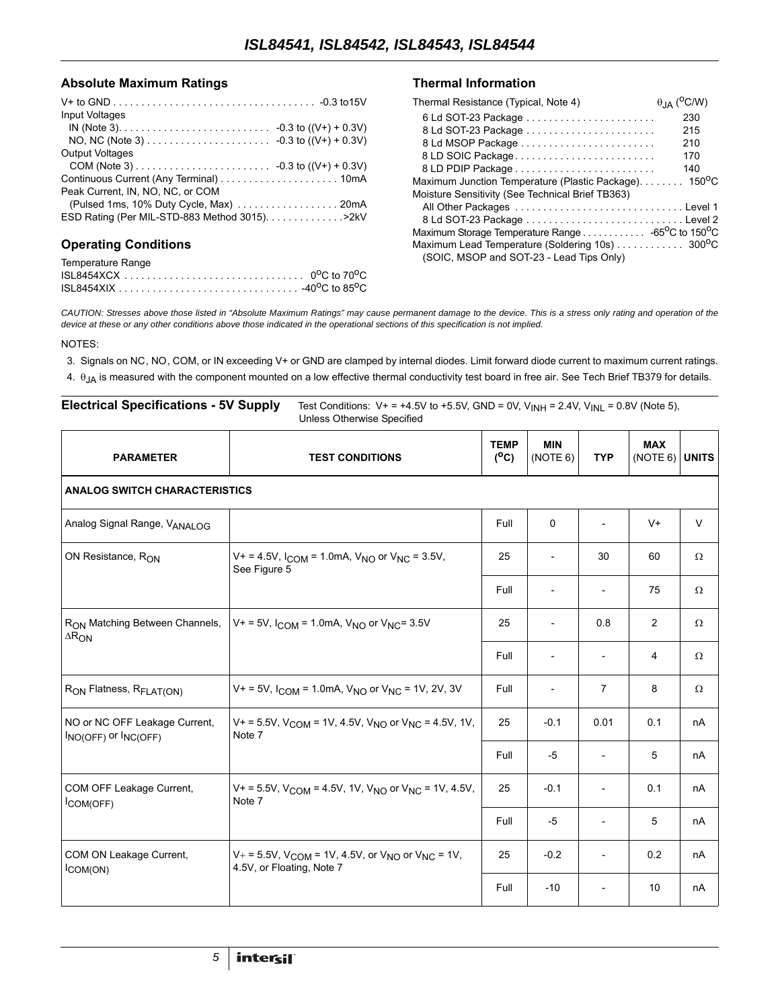#### Absolute Maximum Ratings **Thermal Information**

| Input Voltages                                  |  |
|-------------------------------------------------|--|
|                                                 |  |
|                                                 |  |
| <b>Output Voltages</b>                          |  |
|                                                 |  |
|                                                 |  |
| Peak Current. IN. NO. NC. or COM                |  |
|                                                 |  |
| ESD Rating (Per MIL-STD-883 Method 3015). > 2kV |  |
|                                                 |  |
|                                                 |  |

#### **Operating Conditions**

| Temperature Range |  |
|-------------------|--|
|                   |  |
|                   |  |

| Thermal Resistance (Typical, Note 4)                  | $\theta$ <sub>JA</sub> ( <sup>O</sup> C/W) |
|-------------------------------------------------------|--------------------------------------------|
|                                                       | 230                                        |
|                                                       | 215                                        |
| 8 Ld MSOP Package                                     | 210                                        |
| 8 LD SOIC Package                                     | 170                                        |
|                                                       | 140                                        |
| Maximum Junction Temperature (Plastic Package). 150°C |                                            |
| Moisture Sensitivity (See Technical Brief TB363)      |                                            |
|                                                       |                                            |
|                                                       |                                            |
|                                                       |                                            |
| Maximum Lead Temperature (Soldering 10s) 300°C        |                                            |
| (SOIC, MSOP and SOT-23 - Lead Tips Only)              |                                            |

*CAUTION: Stresses above those listed in "Absolute Maximum Ratings" may cause permanent damage to the device. This is a stress only rating and operation of the device at these or any other conditions above those indicated in the operational sections of this specification is not implied.*

- 3. Signals on NC, NO, COM, or IN exceeding V+ or GND are clamped by internal diodes. Limit forward diode current to maximum current ratings.
- 4.  $\theta_{JA}$  is measured with the component mounted on a low effective thermal conductivity test board in free air. See Tech Brief TB379 for details.

| <b>Electrical Specifications - 5V Supply</b>                    | Test Conditions: $V_+ = +4.5V$ to $+5.5V$ , GND = 0V, $V_{INH} = 2.4V$ , $V_{INL} = 0.8V$ (Note 5),<br>Unless Otherwise Specified |                        |                        |                          |                                |          |
|-----------------------------------------------------------------|-----------------------------------------------------------------------------------------------------------------------------------|------------------------|------------------------|--------------------------|--------------------------------|----------|
| <b>PARAMETER</b>                                                | <b>TEST CONDITIONS</b>                                                                                                            | <b>TEMP</b><br>$(^oC)$ | <b>MIN</b><br>(NOTE 6) | <b>TYP</b>               | <b>MAX</b><br>$(NOTE 6)$ UNITS |          |
| <b>ANALOG SWITCH CHARACTERISTICS</b>                            |                                                                                                                                   |                        |                        |                          |                                |          |
| Analog Signal Range, VANALOG                                    |                                                                                                                                   | Full                   | 0                      | $\overline{\phantom{a}}$ | $V^+$                          | $\vee$   |
| ON Resistance, R <sub>ON</sub>                                  | $V_+ = 4.5V$ , $I_{COM} = 1.0mA$ , $V_{NO}$ or $V_{NC} = 3.5V$ ,<br>See Figure 5                                                  | 25                     |                        | 30                       | 60                             | $\Omega$ |
|                                                                 |                                                                                                                                   | Full                   |                        | $\overline{\phantom{a}}$ | 75                             | Ω        |
| R <sub>ON</sub> Matching Between Channels,<br>$\Delta R_{ON}$   | $V_+$ = 5V, $I_{COM}$ = 1.0mA, $V_{NO}$ or $V_{NC}$ = 3.5V                                                                        | 25                     |                        | 0.8                      | $\overline{2}$                 | $\Omega$ |
|                                                                 |                                                                                                                                   | Full                   |                        | $\overline{\phantom{a}}$ | $\overline{4}$                 | $\Omega$ |
| R <sub>ON</sub> Flatness, R <sub>FLAT(ON)</sub>                 | $V_+$ = 5V, $I_{COM}$ = 1.0mA, $V_{NO}$ or $V_{NC}$ = 1V, 2V, 3V                                                                  | Full                   |                        | $\overline{7}$           | 8                              | $\Omega$ |
| NO or NC OFF Leakage Current,<br>$I_{NO(OFF)}$ or $I_{NC(OFF)}$ | $V_+$ = 5.5V, V <sub>COM</sub> = 1V, 4.5V, V <sub>NO</sub> or V <sub>NC</sub> = 4.5V, 1V,<br>Note 7                               | 25                     | $-0.1$                 | 0.01                     | 0.1                            | nA       |
|                                                                 |                                                                                                                                   | Full                   | $-5$                   | $\overline{\phantom{a}}$ | 5                              | nA       |
| COM OFF Leakage Current,<br>COM(OFF)                            | $V_+$ = 5.5V, V <sub>COM</sub> = 4.5V, 1V, V <sub>NO</sub> or V <sub>NC</sub> = 1V, 4.5V,<br>Note 7                               | 25                     | $-0.1$                 | $\overline{\phantom{a}}$ | 0.1                            | nA       |
|                                                                 |                                                                                                                                   | Full                   | $-5$                   | $\overline{\phantom{a}}$ | 5                              | nA       |
| COM ON Leakage Current,<br>$I_{COM(ON)}$                        | $V_+$ = 5.5V, V <sub>COM</sub> = 1V, 4.5V, or V <sub>NO</sub> or V <sub>NC</sub> = 1V,<br>4.5V, or Floating, Note 7               | 25                     | $-0.2$                 | $\overline{\phantom{0}}$ | 0.2                            | nA       |
|                                                                 |                                                                                                                                   | Full                   | $-10$                  |                          | 10 <sup>°</sup>                | nA       |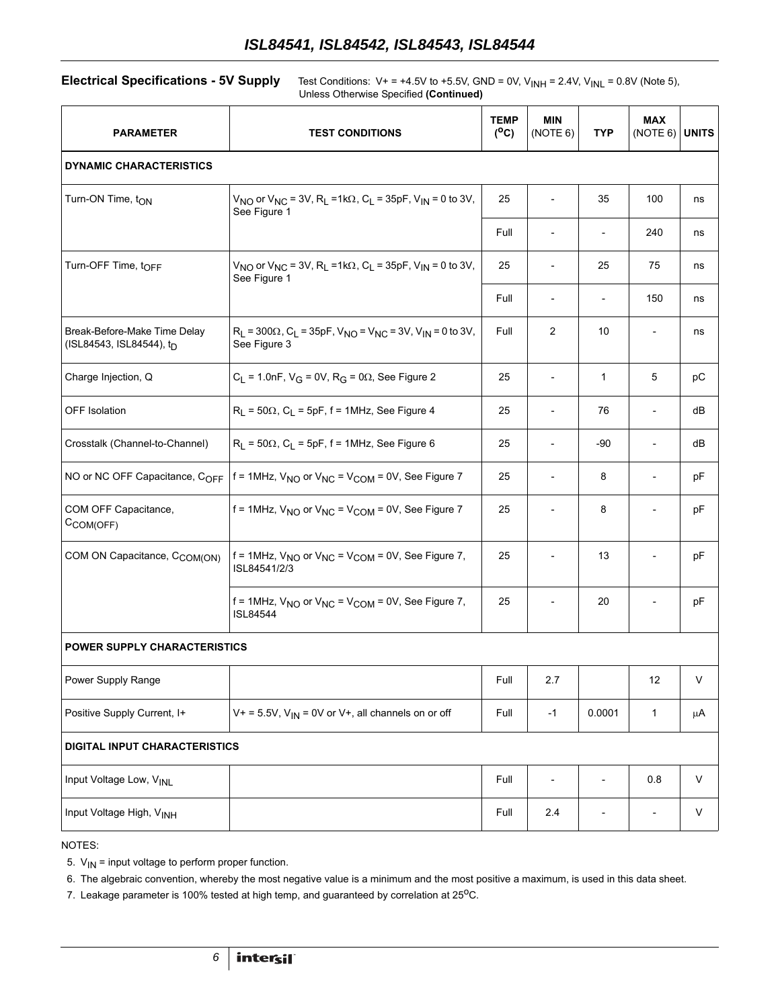**Electrical Specifications - 5V Supply** Test Conditions: V+ = +4.5V to +5.5V, GND = 0V, V<sub>INH</sub> = 2.4V, V<sub>INL</sub> = 0.8V (Note 5), Unless Otherwise Specified **(Continued)**

| <b>PARAMETER</b>                                         | <b>TEST CONDITIONS</b>                                                                                                           | <b>TEMP</b><br>$(^{\circ}C)$ | <b>MIN</b><br>(NOTE 6) | <b>TYP</b>               | <b>MAX</b><br>(NOTE 6)   | <b>UNITS</b> |  |
|----------------------------------------------------------|----------------------------------------------------------------------------------------------------------------------------------|------------------------------|------------------------|--------------------------|--------------------------|--------------|--|
| <b>DYNAMIC CHARACTERISTICS</b>                           |                                                                                                                                  |                              |                        |                          |                          |              |  |
| Turn-ON Time, t <sub>ON</sub>                            | $V_{NO}$ or $V_{NC}$ = 3V, R <sub>L</sub> =1k $\Omega$ , C <sub>L</sub> = 35pF, V <sub>IN</sub> = 0 to 3V,<br>See Figure 1       | 25                           |                        | 35                       | 100                      | ns           |  |
|                                                          |                                                                                                                                  | Full                         |                        | $\overline{\phantom{a}}$ | 240                      | ns           |  |
| Turn-OFF Time, tOFF                                      | $V_{NO}$ or $V_{NC}$ = 3V, R <sub>L</sub> =1k $\Omega$ , C <sub>L</sub> = 35pF, V <sub>IN</sub> = 0 to 3V,<br>See Figure 1       | 25                           |                        | 25                       | 75                       | ns           |  |
|                                                          |                                                                                                                                  | Full                         |                        | $\overline{\phantom{a}}$ | 150                      | ns           |  |
| Break-Before-Make Time Delay<br>(ISL84543, ISL84544), tp | $R_L$ = 300 $\Omega$ , C <sub>L</sub> = 35pF, V <sub>NO</sub> = V <sub>NC</sub> = 3V, V <sub>IN</sub> = 0 to 3V,<br>See Figure 3 | Full                         | $\overline{2}$         | 10                       | $\overline{\phantom{a}}$ | ns           |  |
| Charge Injection, Q                                      | $C_L$ = 1.0nF, V <sub>G</sub> = 0V, R <sub>G</sub> = 0 $\Omega$ , See Figure 2                                                   | 25                           |                        | $\mathbf{1}$             | 5                        | рC           |  |
| <b>OFF Isolation</b>                                     | $R_L$ = 50 $\Omega$ , C <sub>L</sub> = 5pF, f = 1MHz, See Figure 4                                                               | 25                           |                        | 76                       | $\overline{\phantom{a}}$ | dB           |  |
| Crosstalk (Channel-to-Channel)                           | $R_L$ = 50 $\Omega$ , C <sub>L</sub> = 5pF, f = 1MHz, See Figure 6                                                               | 25                           |                        | $-90$                    | $\overline{\phantom{a}}$ | dB           |  |
| NO or NC OFF Capacitance, COFF                           | f = 1MHz, $V_{NO}$ or $V_{NC}$ = $V_{COM}$ = 0V, See Figure 7                                                                    | 25                           |                        | 8                        | $\overline{a}$           | рF           |  |
| COM OFF Capacitance,<br>$C_{COM(OFF)}$                   | $f = 1$ MHz, $V_{NO}$ or $V_{NC} = V_{COM} = 0V$ , See Figure 7                                                                  | 25                           |                        | 8                        |                          | pF           |  |
| COM ON Capacitance, C <sub>COM(ON)</sub>                 | $f = 1$ MHz, $V_{NO}$ or $V_{NC} = V_{COM} = 0V$ , See Figure 7,<br>ISL84541/2/3                                                 | 25                           |                        | 13                       |                          | pF           |  |
|                                                          | $f = 1$ MHz, $V_{NO}$ or $V_{NC} = V_{COM} = 0V$ , See Figure 7,<br><b>ISL84544</b>                                              | 25                           |                        | 20                       |                          | pF           |  |
| <b>POWER SUPPLY CHARACTERISTICS</b>                      |                                                                                                                                  |                              |                        |                          |                          |              |  |
| Power Supply Range                                       |                                                                                                                                  | Full                         | 2.7                    |                          | 12                       | $\vee$       |  |
| Positive Supply Current, I+                              | $V+ = 5.5V$ , $V_{1N} = 0V$ or V+, all channels on or off                                                                        | Full                         | $-1$                   | 0.0001                   | 1                        | μA           |  |
| <b>DIGITAL INPUT CHARACTERISTICS</b>                     |                                                                                                                                  |                              |                        |                          |                          |              |  |
| Input Voltage Low, VINL                                  |                                                                                                                                  | Full                         | $\overline{a}$         | $\overline{a}$           | 0.8                      | $\vee$       |  |
| Input Voltage High, VINH                                 |                                                                                                                                  | Full                         | 2.4                    |                          | $\overline{\phantom{a}}$ | V            |  |

NOTES:

5.  $V_{\text{IN}}$  = input voltage to perform proper function.

6. The algebraic convention, whereby the most negative value is a minimum and the most positive a maximum, is used in this data sheet.

7. Leakage parameter is 100% tested at high temp, and guaranteed by correlation at  $25^{\circ}$ C.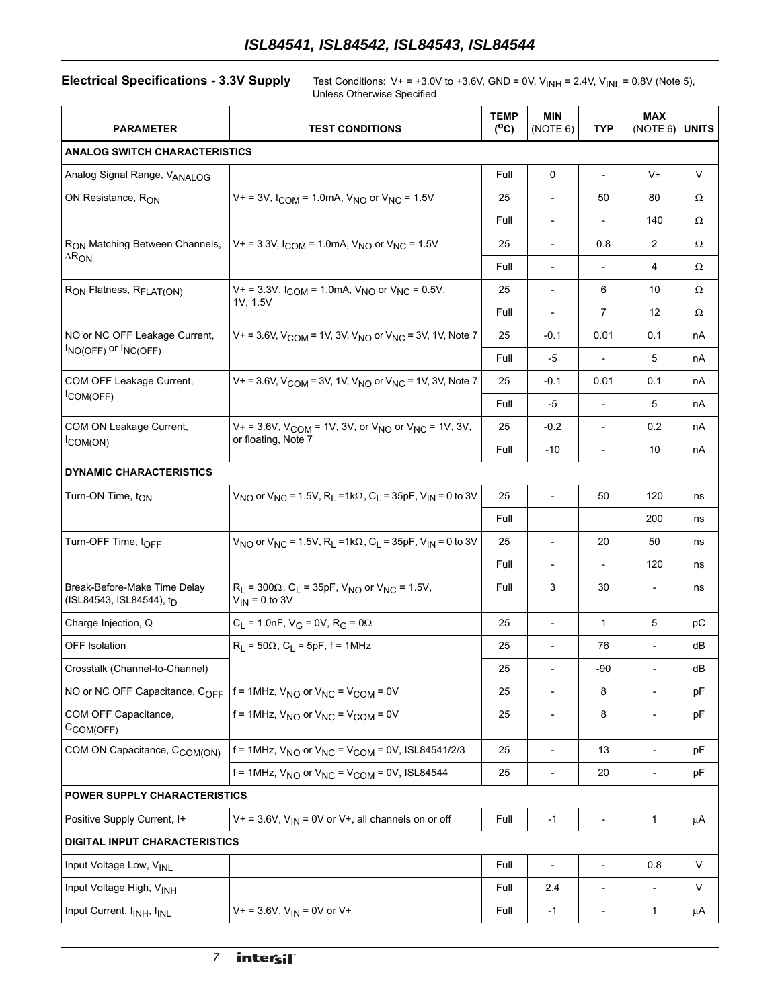**Electrical Specifications - 3.3V Supply** Test Conditions: V+ = +3.0V to +3.6V, GND = 0V, V<sub>INH</sub> = 2.4V, V<sub>INL</sub> = 0.8V (Note 5), Unless Otherwise Specified

| <b>PARAMETER</b>                                                     | <b>TEST CONDITIONS</b>                                                                                         |      | <b>MIN</b><br>(NOTE 6)   | <b>TYP</b>               | <b>MAX</b><br>(NOTE 6)   | <b>UNITS</b> |  |
|----------------------------------------------------------------------|----------------------------------------------------------------------------------------------------------------|------|--------------------------|--------------------------|--------------------------|--------------|--|
| <b>ANALOG SWITCH CHARACTERISTICS</b>                                 |                                                                                                                |      |                          |                          |                          |              |  |
| Analog Signal Range, VANALOG                                         |                                                                                                                | Full | $\mathbf 0$              | $\overline{\phantom{a}}$ | $V +$                    | $\vee$       |  |
| ON Resistance, RON                                                   | $V_+$ = 3V, $I_{COM}$ = 1.0mA, $V_{NO}$ or $V_{NC}$ = 1.5V                                                     |      |                          | 50                       | 80                       | Ω            |  |
|                                                                      |                                                                                                                |      | $\overline{\phantom{a}}$ |                          | 140                      | Ω            |  |
| R <sub>ON</sub> Matching Between Channels,                           | $V_+$ = 3.3V, $I_{COM}$ = 1.0mA, $V_{NO}$ or $V_{NC}$ = 1.5V                                                   |      | $\overline{\phantom{a}}$ | 0.8                      | $\overline{2}$           | Ω            |  |
| $\Delta R_{ON}$                                                      |                                                                                                                |      | $\overline{\phantom{a}}$ |                          | 4                        | Ω            |  |
| R <sub>ON</sub> Flatness, R <sub>FLAT(ON)</sub>                      | $V_+$ = 3.3V, $I_{COM}$ = 1.0mA, $V_{NO}$ or $V_{NC}$ = 0.5V,                                                  | 25   | $\blacksquare$           | 6                        | 10                       | Ω            |  |
|                                                                      | 1V, 1.5V                                                                                                       |      | $\overline{\phantom{a}}$ | 7                        | 12                       | Ω            |  |
| NO or NC OFF Leakage Current,                                        | V + = 3.6V, $V_{COM}$ = 1V, 3V, $V_{NO}$ or $V_{NC}$ = 3V, 1V, Note 7                                          |      | $-0.1$                   | 0.01                     | 0.1                      | nА           |  |
| $I_{NO(OFF)}$ or $I_{NC(OFF)}$                                       |                                                                                                                |      | -5                       | $\overline{\phantom{a}}$ | 5                        | nА           |  |
| COM OFF Leakage Current,                                             | V + = 3.6V, $V_{COM}$ = 3V, 1V, $V_{NO}$ or $V_{NC}$ = 1V, 3V, Note 7                                          | 25   | $-0.1$                   | 0.01                     | 0.1                      | nА           |  |
| COM(OFF)                                                             |                                                                                                                | Full | -5                       | $\overline{\phantom{a}}$ | 5                        | nА           |  |
| COM ON Leakage Current,                                              | $V_+$ = 3.6V, V <sub>COM</sub> = 1V, 3V, or V <sub>NO</sub> or V <sub>NC</sub> = 1V, 3V,                       | 25   | $-0.2$                   | $\overline{\phantom{a}}$ | 0.2                      | nА           |  |
| $I_{COM(ON)}$                                                        | or floating, Note 7                                                                                            |      | $-10$                    | $\overline{\phantom{a}}$ | 10                       | nА           |  |
| <b>DYNAMIC CHARACTERISTICS</b>                                       |                                                                                                                |      |                          |                          |                          |              |  |
| Turn-ON Time, t <sub>ON</sub>                                        | $V_{NO}$ or $V_{NC}$ = 1.5V, R <sub>1</sub> = 1k $\Omega$ , C <sub>1</sub> = 35pF, V <sub>IN</sub> = 0 to 3V   | 25   | $\blacksquare$           | 50                       | 120                      | ns           |  |
|                                                                      |                                                                                                                | Full |                          |                          | 200                      | ns           |  |
| Turn-OFF Time, t <sub>OFF</sub>                                      | $V_{NO}$ or $V_{NC}$ = 1.5V, R <sub>1</sub> = 1k $\Omega$ , C <sub>1</sub> = 35pF, V <sub>IN</sub> = 0 to 3V   | 25   | $\overline{\phantom{a}}$ | 20                       | 50                       | ns           |  |
|                                                                      |                                                                                                                | Full | $\overline{\phantom{a}}$ |                          | 120                      | ns           |  |
| Break-Before-Make Time Delay<br>(ISL84543, ISL84544), t <sub>D</sub> | $R_L$ = 300 $\Omega$ , C <sub>L</sub> = 35pF, V <sub>NO</sub> or V <sub>NC</sub> = 1.5V,<br>$V_{IN}$ = 0 to 3V | Full | 3                        | 30                       | $\overline{\phantom{a}}$ | ns           |  |
| Charge Injection, Q                                                  | $C_L$ = 1.0nF, V <sub>G</sub> = 0V, R <sub>G</sub> = 0 $\Omega$                                                | 25   | $\overline{\phantom{a}}$ | 1                        | 5                        | рC           |  |
| <b>OFF Isolation</b>                                                 | $R_1 = 50\Omega$ , C <sub>1</sub> = 5pF, f = 1MHz                                                              | 25   | $\overline{\phantom{a}}$ | 76                       | $\overline{\phantom{a}}$ | dВ           |  |
| Crosstalk (Channel-to-Channel)                                       |                                                                                                                | 25   | $\overline{\phantom{a}}$ | -90                      | $\overline{\phantom{a}}$ | dВ           |  |
| NO or NC OFF Capacitance, COFF                                       | $f = 1$ MHz, $V_{NO}$ or $V_{NC} = V_{COM} = 0V$                                                               | 25   | $\blacksquare$           | 8                        | $\overline{\phantom{0}}$ | pF           |  |
| COM OFF Capacitance,<br>CCOM(OFF)                                    | $f = 1$ MHz, $V_{NO}$ or $V_{NC} = V_{COM} = 0V$                                                               | 25   |                          | 8                        | $\overline{\phantom{0}}$ | pF           |  |
| COM ON Capacitance, C <sub>COM(ON)</sub>                             | $f = 1$ MHz, $V_{NO}$ or $V_{NC} = V_{COM} = 0V$ , ISL84541/2/3                                                | 25   | $\overline{\phantom{a}}$ | 13                       | $\overline{\phantom{0}}$ | pF           |  |
|                                                                      | $f = 1$ MHz, $V_{NO}$ or $V_{NC} = V_{COM} = 0V$ , ISL84544                                                    | 25   | $\overline{\phantom{0}}$ | 20                       | $\overline{\phantom{0}}$ | pF           |  |
| POWER SUPPLY CHARACTERISTICS                                         |                                                                                                                |      |                          |                          |                          |              |  |
| Positive Supply Current, I+                                          | $V+ = 3.6V$ , $V_{1N} = 0V$ or V+, all channels on or off                                                      | Full | $-1$                     | $\overline{\phantom{a}}$ | 1                        | μA           |  |
| <b>DIGITAL INPUT CHARACTERISTICS</b>                                 |                                                                                                                |      |                          |                          |                          |              |  |
| Input Voltage Low, VINL                                              |                                                                                                                | Full | $\overline{\phantom{a}}$ | $\overline{\phantom{a}}$ | 0.8                      | V            |  |
| Input Voltage High, VINH                                             |                                                                                                                | Full | 2.4                      | $\overline{\phantom{m}}$ | $\overline{a}$           | V            |  |
| Input Current, I <sub>INH</sub> , I <sub>INL</sub>                   | $V+ = 3.6V$ , $V_{1N} = 0V$ or V+                                                                              | Full | $-1$                     | $\overline{\phantom{a}}$ | 1                        | μA           |  |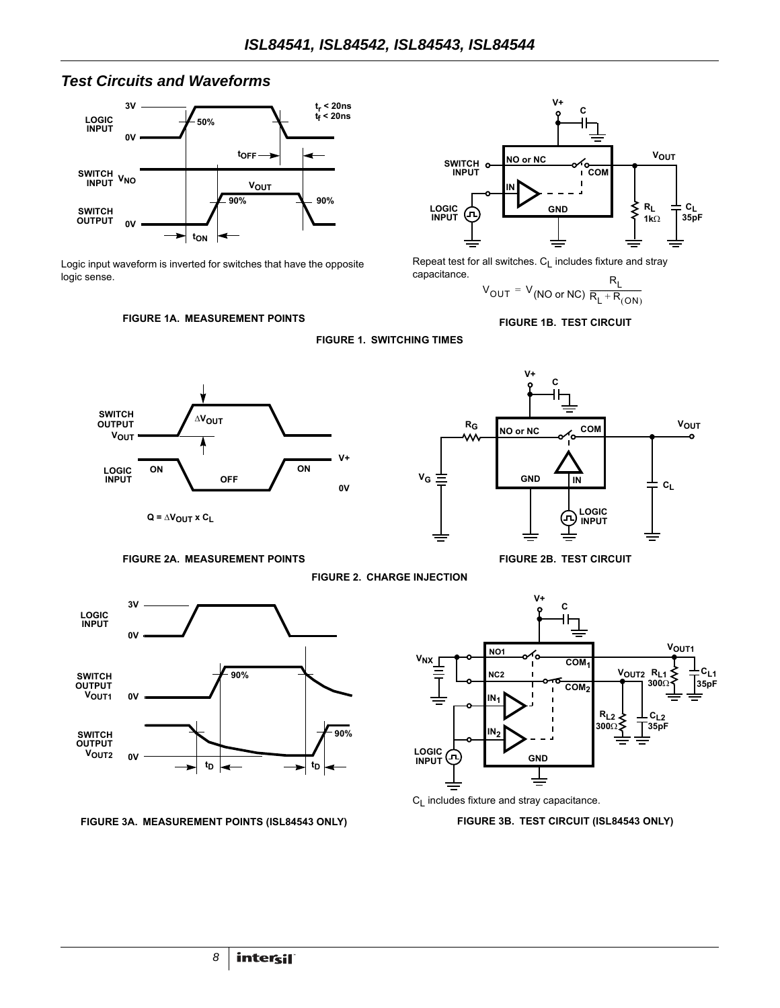#### *Test Circuits and Waveforms*



Logic input waveform is inverted for switches that have the opposite logic sense.



Repeat test for all switches.  $C_L$  includes fixture and stray capacitance.

**V+**

$$
V_{OUT} = V_{(NO or NC)} \frac{R_{L}}{R_{L} + R_{(ON)}}
$$

**FIGURE 1B. TEST CIRCUIT**





<span id="page-7-0"></span>



**C**

**FIGURE 2A. MEASUREMENT POINTS FIGURE 2B. TEST CIRCUIT**

**FIGURE 2. CHARGE INJECTION**

<span id="page-7-1"></span>

**FIGURE 3A. MEASUREMENT POINTS (ISL84543 ONLY)**





**FIGURE 3B. TEST CIRCUIT (ISL84543 ONLY)**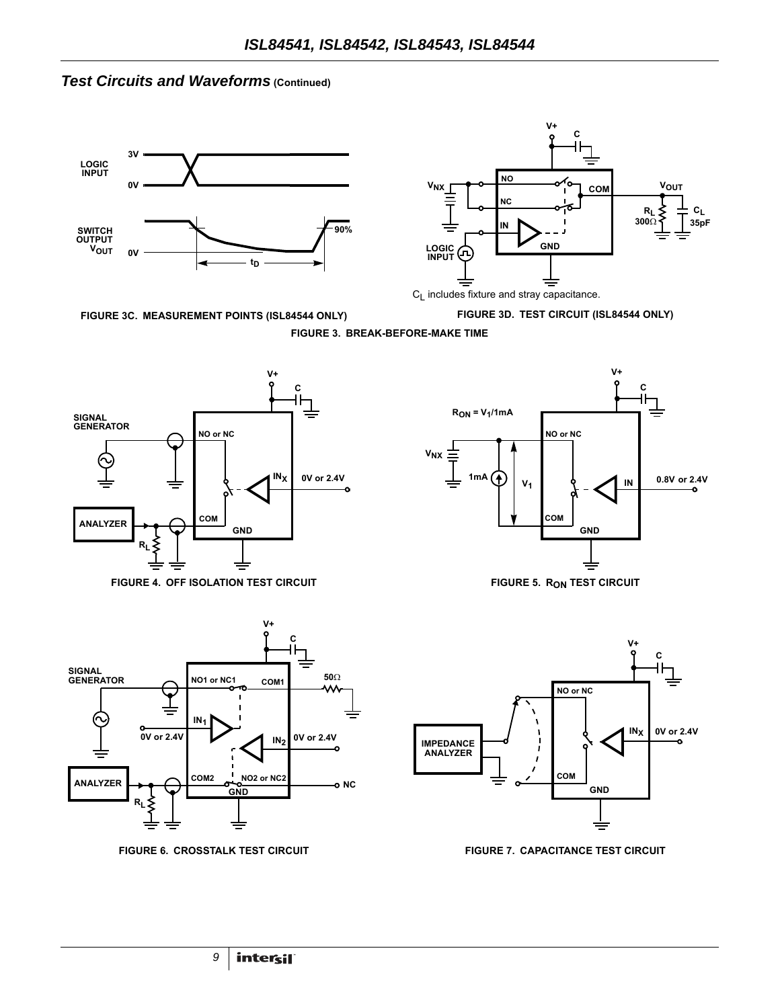## *Test Circuits and Waveforms* (Continued)





<span id="page-8-1"></span>**FIGURE 3C. MEASUREMENT POINTS (ISL84544 ONLY)**







FIGURE 4. OFF ISOLATION TEST CIRCUIT **FIGURE 5. RON TEST CIRCUIT** 

<span id="page-8-2"></span>

<span id="page-8-3"></span>



<span id="page-8-4"></span><span id="page-8-0"></span>

**FIGURE 6. CROSSTALK TEST CIRCUIT FIGURE 7. CAPACITANCE TEST CIRCUIT**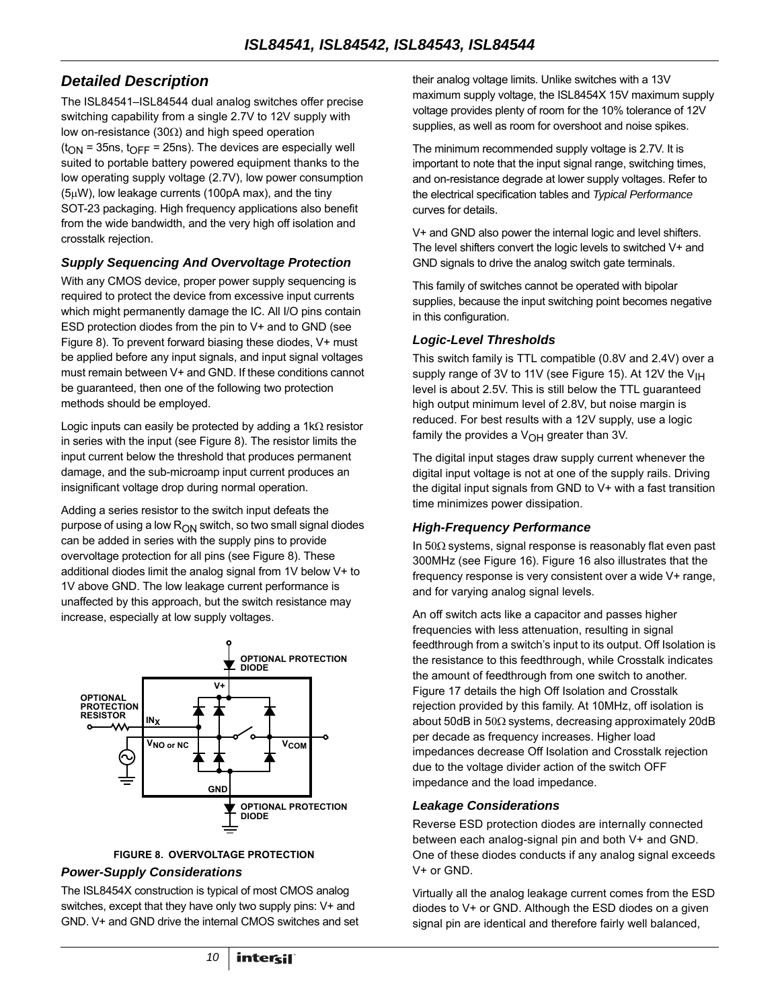### *Detailed Description*

The ISL84541–ISL84544 dual analog switches offer precise switching capability from a single 2.7V to 12V supply with low on-resistance (30 $\Omega$ ) and high speed operation  $(t<sub>ON</sub> = 35ns, t<sub>OFF</sub> = 25ns)$ . The devices are especially well suited to portable battery powered equipment thanks to the low operating supply voltage (2.7V), low power consumption  $(5\mu W)$ , low leakage currents (100pA max), and the tiny SOT-23 packaging. High frequency applications also benefit from the wide bandwidth, and the very high off isolation and crosstalk rejection.

#### *Supply Sequencing And Overvoltage Protection*

With any CMOS device, proper power supply sequencing is required to protect the device from excessive input currents which might permanently damage the IC. All I/O pins contain ESD protection diodes from the pin to V+ and to GND (see Figure 8). To prevent forward biasing these diodes, V+ must be applied before any input signals, and input signal voltages must remain between V+ and GND. If these conditions cannot be guaranteed, then one of the following two protection methods should be employed.

Logic inputs can easily be protected by adding a  $1k\Omega$  resistor in series with the input (see Figure 8). The resistor limits the input current below the threshold that produces permanent damage, and the sub-microamp input current produces an insignificant voltage drop during normal operation.

Adding a series resistor to the switch input defeats the purpose of using a low  $R_{ON}$  switch, so two small signal diodes can be added in series with the supply pins to provide overvoltage protection for all pins (see Figure 8). These additional diodes limit the analog signal from 1V below V+ to 1V above GND. The low leakage current performance is unaffected by this approach, but the switch resistance may increase, especially at low supply voltages.



#### **FIGURE 8. OVERVOLTAGE PROTECTION**

#### *Power-Supply Considerations*

The ISL8454X construction is typical of most CMOS analog switches, except that they have only two supply pins: V+ and GND. V+ and GND drive the internal CMOS switches and set their analog voltage limits. Unlike switches with a 13V maximum supply voltage, the ISL8454X 15V maximum supply voltage provides plenty of room for the 10% tolerance of 12V supplies, as well as room for overshoot and noise spikes.

The minimum recommended supply voltage is 2.7V. It is important to note that the input signal range, switching times, and on-resistance degrade at lower supply voltages. Refer to the electrical specification tables and *Typical Performance* curves for details.

V+ and GND also power the internal logic and level shifters. The level shifters convert the logic levels to switched V+ and GND signals to drive the analog switch gate terminals.

This family of switches cannot be operated with bipolar supplies, because the input switching point becomes negative in this configuration.

#### *Logic-Level Thresholds*

This switch family is TTL compatible (0.8V and 2.4V) over a supply range of 3V to 11V (see Figure [15](#page-11-0)). At 12V the  $V_{\text{IH}}$ level is about 2.5V. This is still below the TTL guaranteed high output minimum level of 2.8V, but noise margin is reduced. For best results with a 12V supply, use a logic family the provides a  $V_{OH}$  greater than 3V.

The digital input stages draw supply current whenever the digital input voltage is not at one of the supply rails. Driving the digital input signals from GND to V+ with a fast transition time minimizes power dissipation.

#### *High-Frequency Performance*

In  $50\Omega$  systems, signal response is reasonably flat even past 300MHz (see Figure [16\)](#page-11-1). Figure [16](#page-11-1) also illustrates that the frequency response is very consistent over a wide V+ range, and for varying analog signal levels.

An off switch acts like a capacitor and passes higher frequencies with less attenuation, resulting in signal feedthrough from a switch's input to its output. Off Isolation is the resistance to this feedthrough, while Crosstalk indicates the amount of feedthrough from one switch to another. Figure [17](#page-11-2) details the high Off Isolation and Crosstalk rejection provided by this family. At 10MHz, off isolation is about 50dB in  $50\Omega$  systems, decreasing approximately 20dB per decade as frequency increases. Higher load impedances decrease Off Isolation and Crosstalk rejection due to the voltage divider action of the switch OFF impedance and the load impedance.

#### *Leakage Considerations*

Reverse ESD protection diodes are internally connected between each analog-signal pin and both V+ and GND. One of these diodes conducts if any analog signal exceeds V+ or GND.

Virtually all the analog leakage current comes from the ESD diodes to V+ or GND. Although the ESD diodes on a given signal pin are identical and therefore fairly well balanced,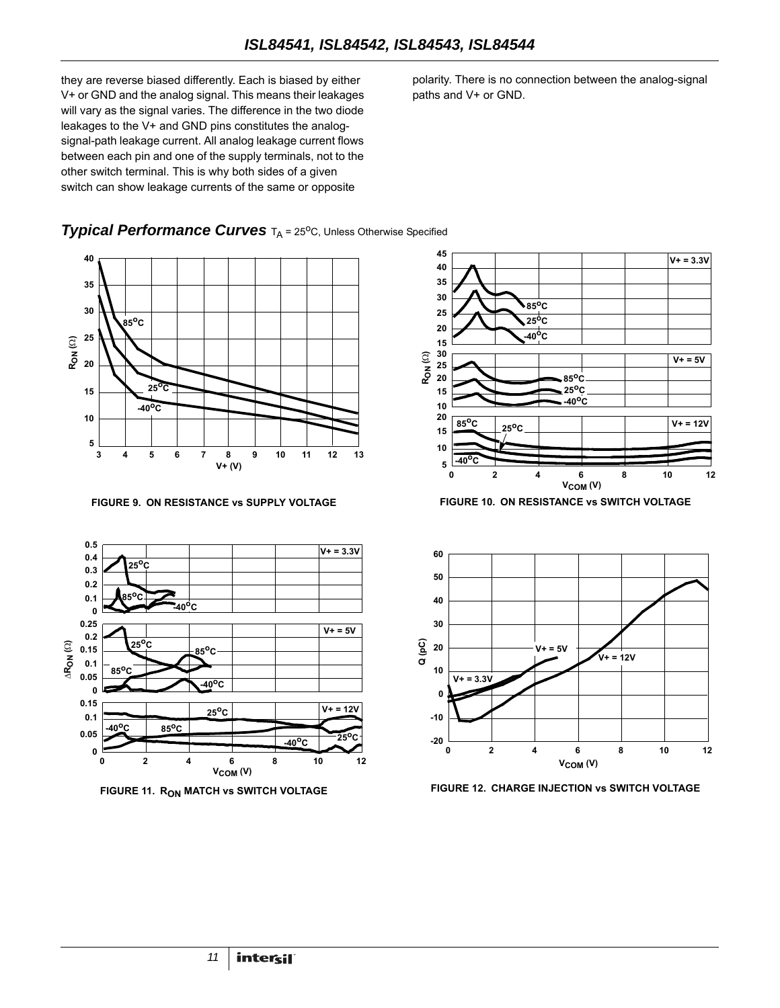they are reverse biased differently. Each is biased by either V+ or GND and the analog signal. This means their leakages will vary as the signal varies. The difference in the two diode leakages to the V+ and GND pins constitutes the analogsignal-path leakage current. All analog leakage current flows between each pin and one of the supply terminals, not to the other switch terminal. This is why both sides of a given switch can show leakage currents of the same or opposite

polarity. There is no connection between the analog-signal paths and V+ or GND.

#### **Typical Performance Curves** T<sub>A</sub> = 25<sup>o</sup>C, Unless Otherwise Specified



**FIGURE 9. ON RESISTANCE vs SUPPLY VOLTAGE FIGURE 10. ON RESISTANCE vs SWITCH VOLTAGE**









FIGURE 11. R<sub>ON</sub> MATCH Vs SWITCH VOLTAGE **FIGURE 12. CHARGE INJECTION VS SWITCH VOLTAGE**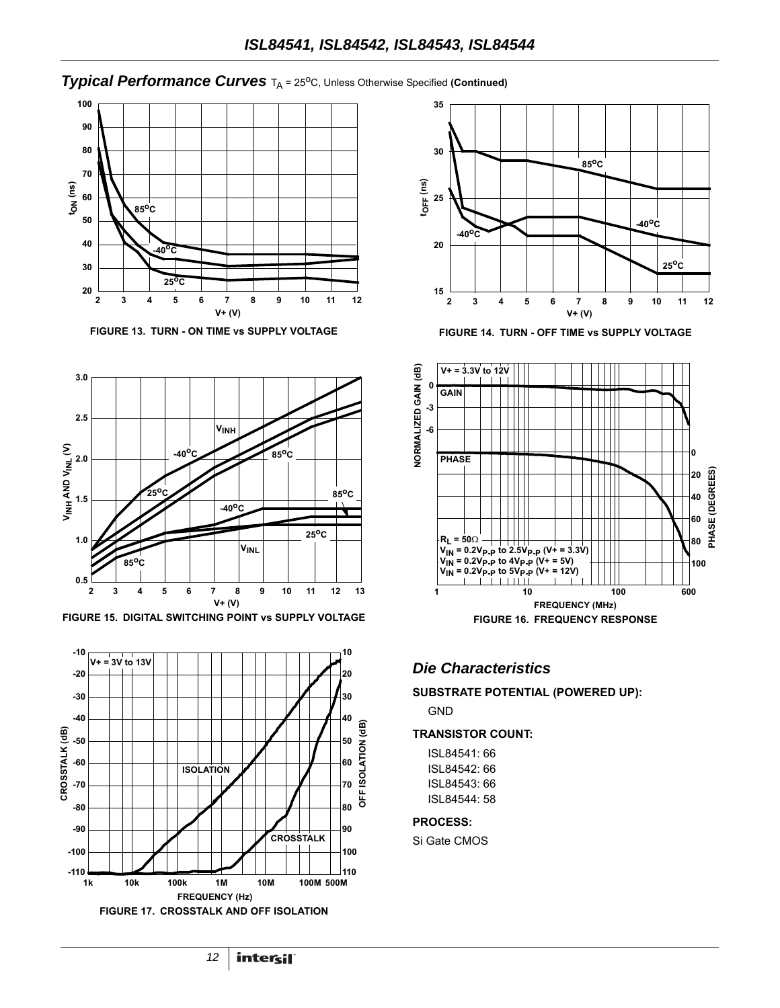#### **Typical Performance Curves** T<sub>A</sub> = 25°C, Unless Otherwise Specified (Continued)



**FIGURE 13. TURN - ON TIME vs SUPPLY VOLTAGE FIGURE 14. TURN - OFF TIME vs SUPPLY VOLTAGE**



<span id="page-11-0"></span>FIGURE 15. DIGITAL SWITCHING POINT vs SUPPLY VOLTAGE FIGURE 16. FREQUENCY RESPONSE

<span id="page-11-2"></span>





#### <span id="page-11-1"></span>*Die Characteristics*

**SUBSTRATE POTENTIAL (POWERED UP):**

GND

#### **TRANSISTOR COUNT:**

ISL84541: 66 ISL84542: 66 ISL84543: 66 ISL84544: 58

#### **PROCESS:**

Si Gate CMOS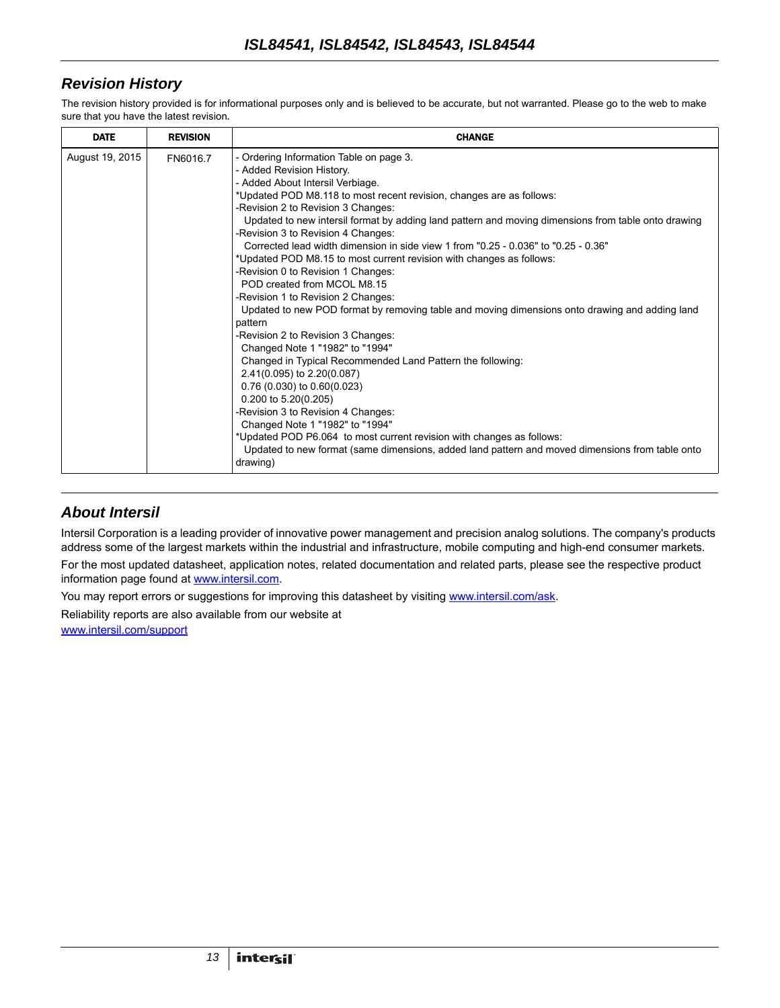# *Revision History*

The revision history provided is for informational purposes only and is believed to be accurate, but not warranted. Please go to the web to make sure that you have the latest revision.

| <b>DATE</b>     | <b>REVISION</b> | <b>CHANGE</b>                                                                                                                                                                                                                                                                                                                                                                                                                                                                                                                                                                                                                                                                                                                                                                                                                                                                                                                                                                                                                                                                                                                                                                                                                                             |
|-----------------|-----------------|-----------------------------------------------------------------------------------------------------------------------------------------------------------------------------------------------------------------------------------------------------------------------------------------------------------------------------------------------------------------------------------------------------------------------------------------------------------------------------------------------------------------------------------------------------------------------------------------------------------------------------------------------------------------------------------------------------------------------------------------------------------------------------------------------------------------------------------------------------------------------------------------------------------------------------------------------------------------------------------------------------------------------------------------------------------------------------------------------------------------------------------------------------------------------------------------------------------------------------------------------------------|
| August 19, 2015 | FN6016.7        | - Ordering Information Table on page 3.<br>- Added Revision History.<br>- Added About Intersil Verbiage.<br>*Updated POD M8.118 to most recent revision, changes are as follows:<br>-Revision 2 to Revision 3 Changes:<br>Updated to new intersil format by adding land pattern and moving dimensions from table onto drawing<br>-Revision 3 to Revision 4 Changes:<br>Corrected lead width dimension in side view 1 from "0.25 - 0.036" to "0.25 - 0.36"<br>*Updated POD M8.15 to most current revision with changes as follows:<br>-Revision 0 to Revision 1 Changes:<br>POD created from MCOL M8.15<br>-Revision 1 to Revision 2 Changes:<br>Updated to new POD format by removing table and moving dimensions onto drawing and adding land<br>pattern<br>-Revision 2 to Revision 3 Changes:<br>Changed Note 1 "1982" to "1994"<br>Changed in Typical Recommended Land Pattern the following:<br>2.41(0.095) to 2.20(0.087)<br>$0.76(0.030)$ to $0.60(0.023)$<br>0.200 to 5.20(0.205)<br>-Revision 3 to Revision 4 Changes:<br>Changed Note 1 "1982" to "1994"<br>*Updated POD P6.064 to most current revision with changes as follows:<br>Updated to new format (same dimensions, added land pattern and moved dimensions from table onto<br>drawing) |

#### *About Intersil*

Intersil Corporation is a leading provider of innovative power management and precision analog solutions. The company's products address some of the largest markets within the industrial and infrastructure, mobile computing and high-end consumer markets.

For the most updated datasheet, application notes, related documentation and related parts, please see the respective product information page found at<www.intersil.com>.

You may report errors or suggestions for improving this datasheet by visiting [www.intersil.com/ask](http://www.intersil.com/en/support.html?OrganizationID=784358&p=createnewticket&p_href=http%3A%2F%2Fwww.intersil.com%2Fen%2Fsupport.html).

Reliability reports are also available from our website at

[www.intersil.com/support](http://www.intersil.com/en/support/qualandreliability.html#reliability)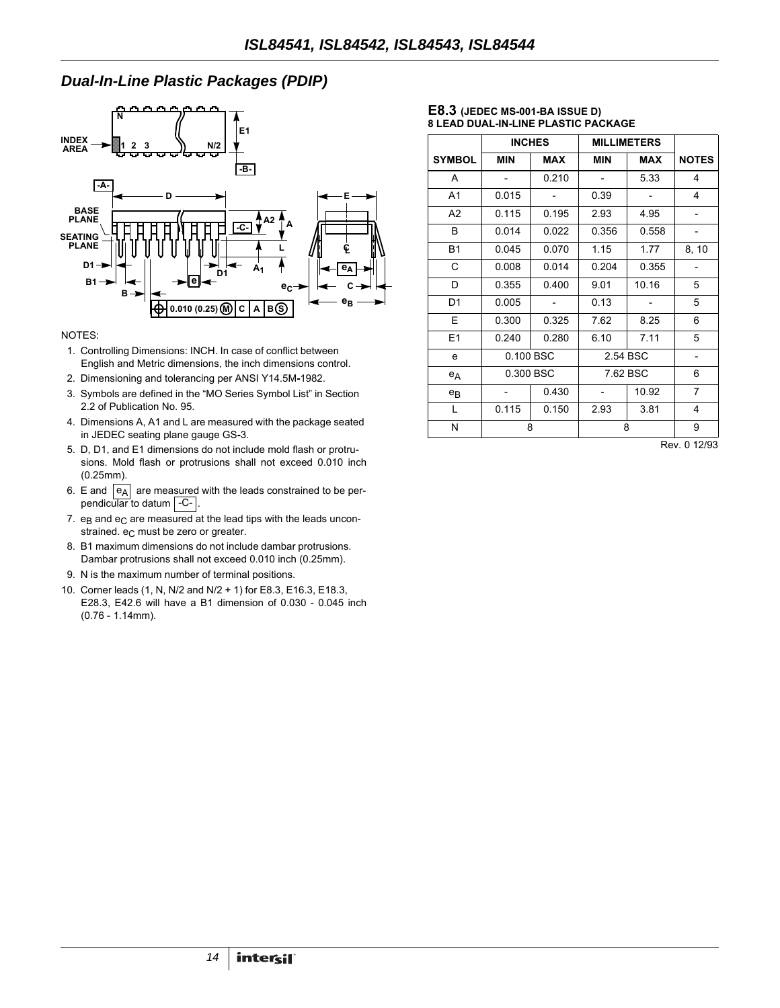### *Dual-In-Line Plastic Packages (PDIP)*



#### NOTES:

- 1. Controlling Dimensions: INCH. In case of conflict between English and Metric dimensions, the inch dimensions control.
- 2. Dimensioning and tolerancing per ANSI Y14.5M**-**1982.
- 3. Symbols are defined in the "MO Series Symbol List" in Section 2.2 of Publication No. 95.
- 4. Dimensions A, A1 and L are measured with the package seated in JEDEC seating plane gauge GS**-**3.
- 5. D, D1, and E1 dimensions do not include mold flash or protrusions. Mold flash or protrusions shall not exceed 0.010 inch (0.25mm).
- 6. E and  $|e_A|$  are measured with the leads constrained to be perpendicular to datum | -C- |.
- 7.  $e_B$  and  $e_C$  are measured at the lead tips with the leads unconstrained. e<sub>C</sub> must be zero or greater.
- 8. B1 maximum dimensions do not include dambar protrusions. Dambar protrusions shall not exceed 0.010 inch (0.25mm).
- 9. N is the maximum number of terminal positions.
- 10. Corner leads (1, N, N/2 and N/2 + 1) for E8.3, E16.3, E18.3, E28.3, E42.6 will have a B1 dimension of 0.030 - 0.045 inch (0.76 - 1.14mm).

#### **E8.3 (JEDEC MS-001-BA ISSUE D) 8 LEAD DUAL-IN-LINE PLASTIC PACKAGE**

|                |            | <b>INCHES</b><br><b>MILLIMETERS</b> |            |            |                          |
|----------------|------------|-------------------------------------|------------|------------|--------------------------|
| <b>SYMBOL</b>  | <b>MIN</b> | <b>MAX</b>                          | <b>MIN</b> | <b>MAX</b> | <b>NOTES</b>             |
| A              |            | 0.210                               |            | 5.33       | 4                        |
| A <sub>1</sub> | 0.015      |                                     | 0.39       |            | 4                        |
| A2             | 0.115      | 0.195                               | 2.93       | 4.95       | $\overline{\phantom{a}}$ |
| B              | 0.014      | 0.022                               | 0.356      | 0.558      |                          |
| <b>B1</b>      | 0.045      | 0.070                               | 1.15       | 1.77       | 8, 10                    |
| C              | 0.008      | 0.014                               | 0.204      | 0.355      |                          |
| D              | 0.355      | 0.400                               | 9.01       | 10.16      | 5                        |
| D1             | 0.005      |                                     | 0.13       |            | 5                        |
| Е              | 0.300      | 0.325                               | 7.62       | 8.25       | 6                        |
| E1             | 0.240      | 0.280                               | 6.10       | 7.11       | 5                        |
| e              | 0.100 BSC  |                                     | 2.54 BSC   |            |                          |
| $e_A$          | 0.300 BSC  |                                     |            | 7.62 BSC   |                          |
| $e_{B}$        |            | 0.430                               |            | 10.92      | $\overline{7}$           |
| $\mathbf{L}$   | 0.115      | 0.150                               | 2.93       | 3.81       | 4                        |
| Ν              |            | 8                                   | 8          |            | 9                        |

Rev. 0 12/93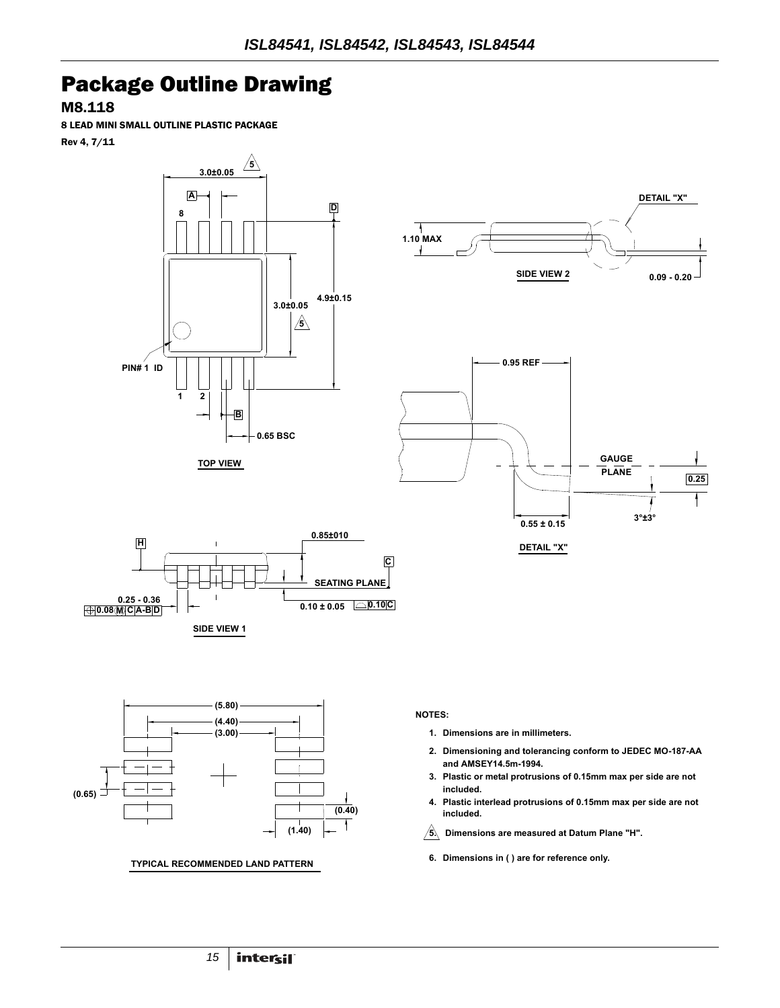# Package Outline Drawing

M8.118

8 LEAD MINI SMALL OUTLINE PLASTIC PACKAGE Rev 4, 7/11











**TYPICAL RECOMMENDED LAND PATTERN**

- **Dimensions are in millimeters. 1.**
- **Dimensioning and tolerancing conform to JEDEC MO-187-AA 2. and AMSEY14.5m-1994.**
- **Plastic or metal protrusions of 0.15mm max per side are not 3. included.**
- **Plastic interlead protrusions of 0.15mm max per side are not 4. included.**
- **Dimensions are measured at Datum Plane "H". 5.**
- **Dimensions in ( ) are for reference only. 6.**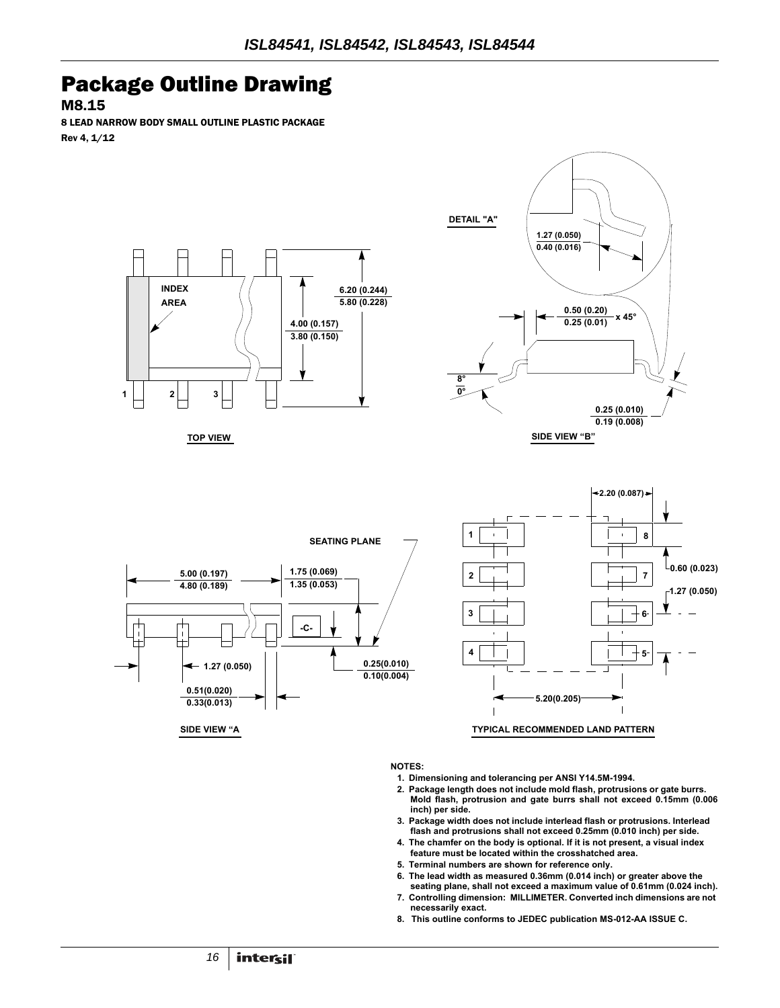# Package Outline Drawing

M8.15

8 LEAD NARROW BODY SMALL OUTLINE PLASTIC PACKAGE Rev 4, 1/12



- **1. Dimensioning and tolerancing per ANSI Y14.5M-1994.**
- **2. Package length does not include mold flash, protrusions or gate burrs. Mold flash, protrusion and gate burrs shall not exceed 0.15mm (0.006 inch) per side.**
- **3. Package width does not include interlead flash or protrusions. Interlead flash and protrusions shall not exceed 0.25mm (0.010 inch) per side.**
- **4. The chamfer on the body is optional. If it is not present, a visual index feature must be located within the crosshatched area.**
- **5. Terminal numbers are shown for reference only.**
- **6. The lead width as measured 0.36mm (0.014 inch) or greater above the seating plane, shall not exceed a maximum value of 0.61mm (0.024 inch).**
- **7. Controlling dimension: MILLIMETER. Converted inch dimensions are not necessarily exact.**
- **8. This outline conforms to JEDEC publication MS-012-AA ISSUE C.**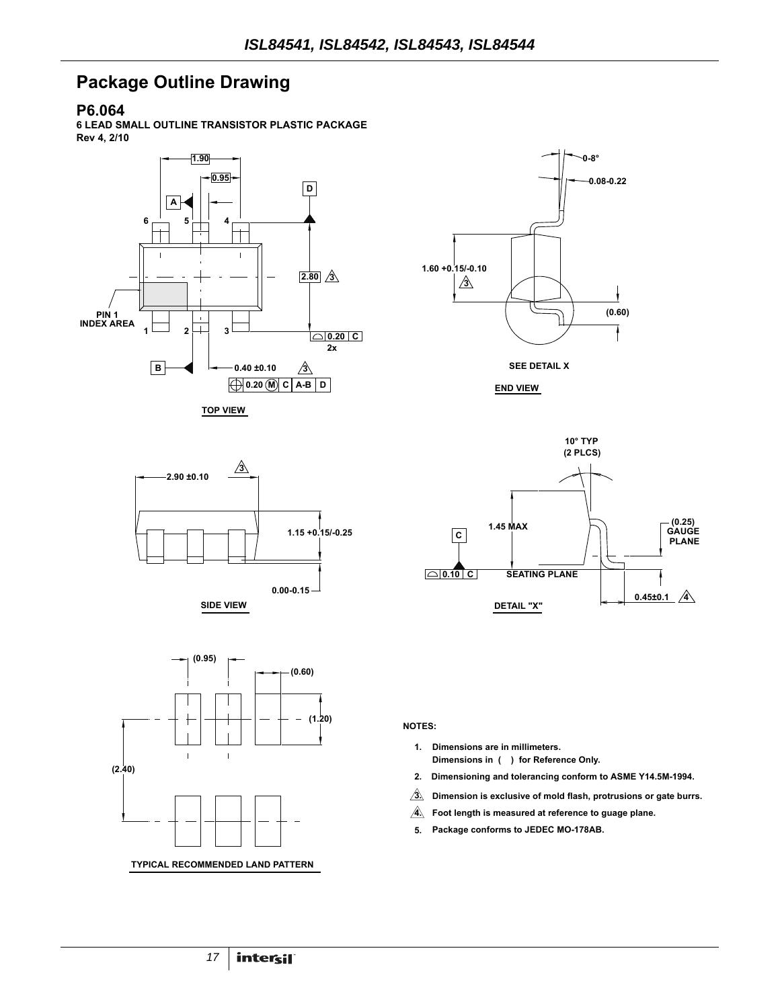# **Package Outline Drawing**

#### **P6.064**

**6 LEAD SMALL OUTLINE TRANSISTOR PLASTIC PACKAGE Rev 4, 2/10**



**TOP VIEW**











- **Dimensions in ( ) for Reference Only. 1. Dimensions are in millimeters.**
- **Dimensioning and tolerancing conform to ASME Y14.5M-1994. 2.**
- **Dimension is exclusive of mold flash, protrusions or gate burrs. 3.**
- **Foot length is measured at reference to guage plane. 4.**
- **Package conforms to JEDEC MO-178AB. 5.**